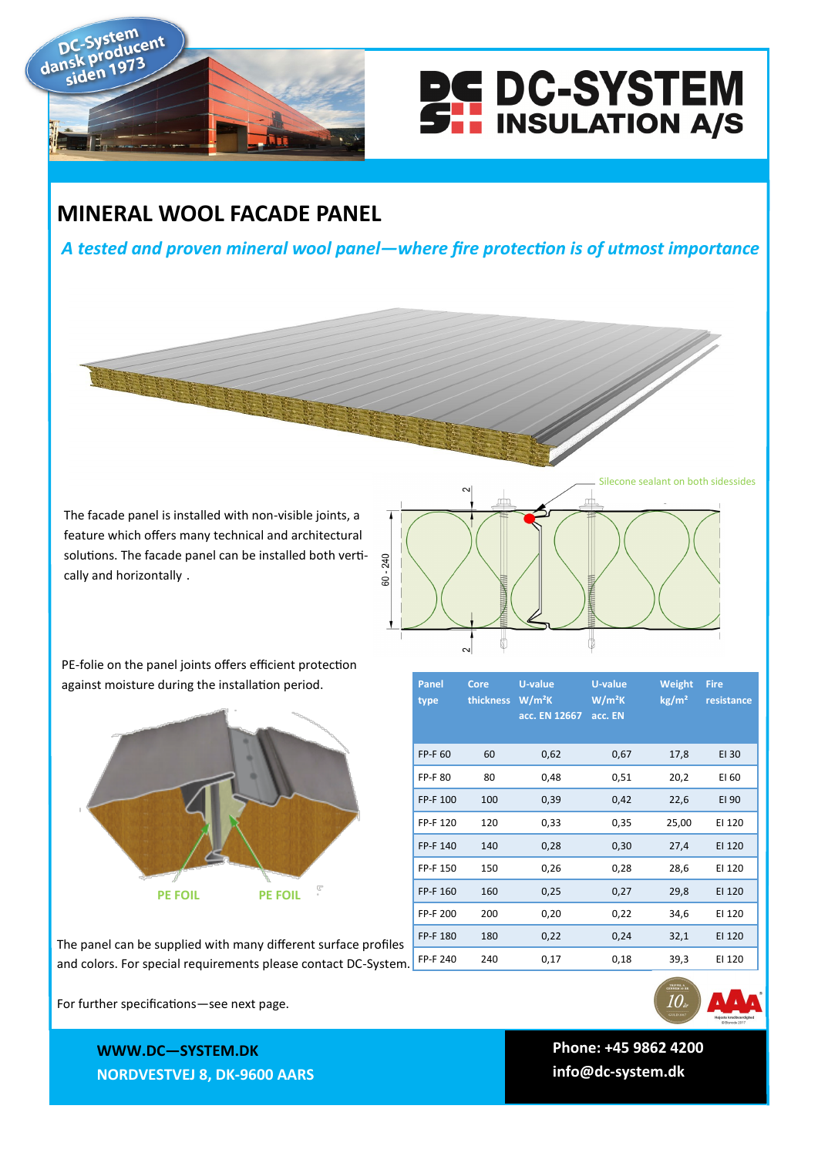



## **MINERAL WOOL FACADE PANEL**

*A tested and proven mineral wool panel—where fire protection is of utmost importance*

The facade panel is installed with non-visible joints, a feature which offers many technical and architectural solutions. The facade panel can be installed both vertically and horizontally .



PE-folie on the panel joints offers efficient protection against moisture during the installation period.



The panel can be supplied with many different surface profiles and colors. For special requirements please contact DC-System.

| <b>Core</b><br><b>thickness</b> | <b>U-value</b><br>$W/m^2K$<br>acc. EN 12667 | U-value<br>$W/m^2K$<br>acc. EN | Weight<br>kg/m <sup>2</sup> | <b>Fire</b><br>resistance |
|---------------------------------|---------------------------------------------|--------------------------------|-----------------------------|---------------------------|
| 60                              | 0,62                                        | 0,67                           | 17,8                        | EI 30                     |
| 80                              | 0,48                                        | 0,51                           | 20,2                        | EI 60                     |
| 100                             | 0,39                                        | 0,42                           | 22,6                        | EI 90                     |
| 120                             | 0,33                                        | 0,35                           | 25,00                       | EI 120                    |
| 140                             | 0,28                                        | 0,30                           | 27,4                        | EI 120                    |
| 150                             | 0,26                                        | 0,28                           | 28,6                        | EI 120                    |
| 160                             | 0,25                                        | 0,27                           | 29,8                        | EI 120                    |
| 200                             | 0,20                                        | 0,22                           | 34,6                        | EI 120                    |
| 180                             | 0,22                                        | 0,24                           | 32,1                        | EI 120                    |
| 240                             | 0,17                                        | 0,18                           | 39,3                        | EI 120                    |
|                                 |                                             |                                |                             |                           |

For further specifications—see next page.

**WWW.DC—SYSTEM.DK NORDVESTVEJ 8, DK-9600 AARS**



 **Phone: +45 9862 4200 info@dc-system.dk**